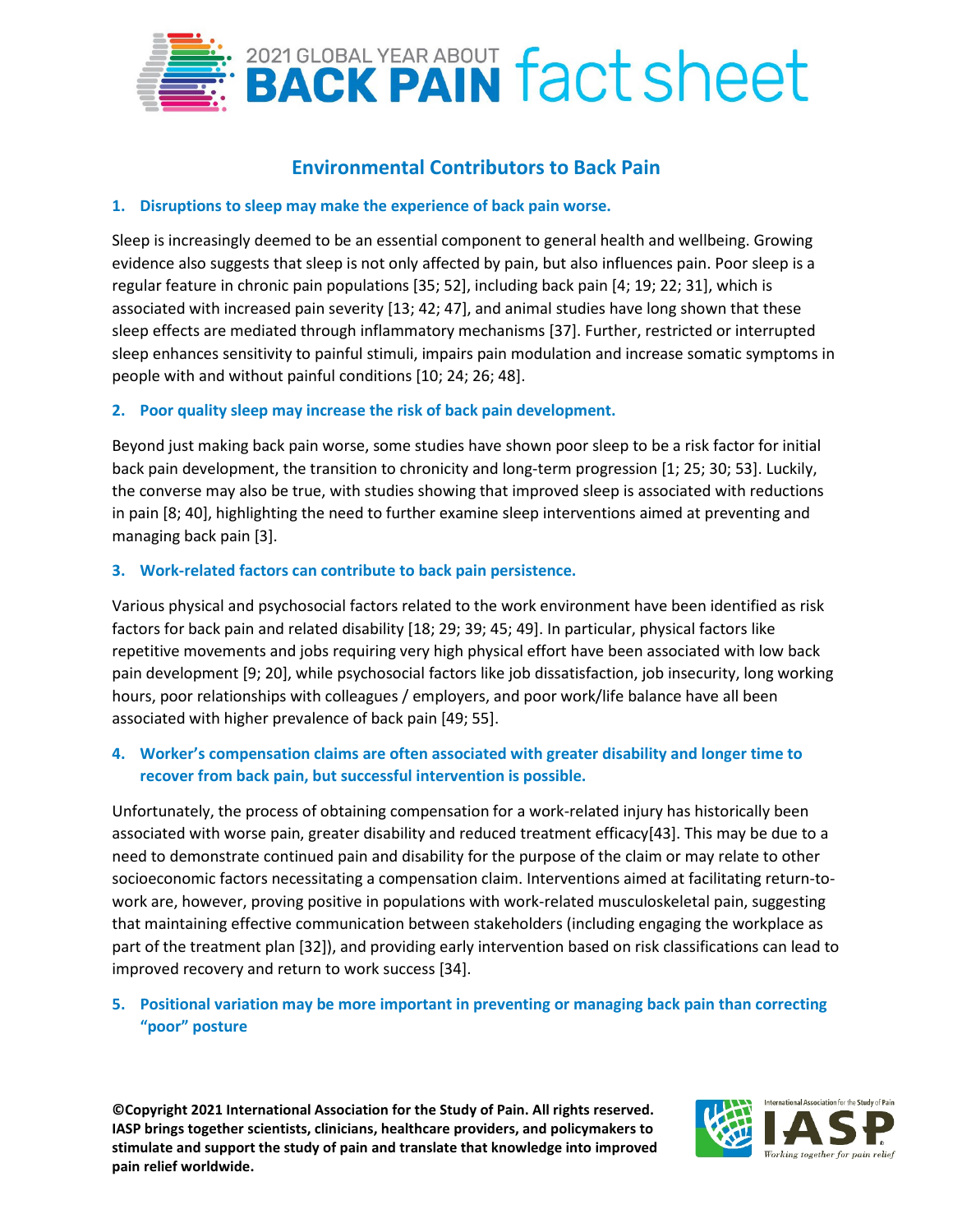

# **Environmental Contributors to Back Pain**

#### **1. Disruptions to sleep may make the experience of back pain worse.**

Sleep is increasingly deemed to be an essential component to general health and wellbeing. Growing evidence also suggests that sleep is not only affected by pain, but also influences pain. Poor sleep is a regular feature in chronic pain populations [35; 52], including back pain [4; 19; 22; 31], which is associated with increased pain severity [13; 42; 47], and animal studies have long shown that these sleep effects are mediated through inflammatory mechanisms [37]. Further, restricted or interrupted sleep enhances sensitivity to painful stimuli, impairs pain modulation and increase somatic symptoms in people with and without painful conditions [10; 24; 26; 48].

#### **2. Poor quality sleep may increase the risk of back pain development.**

Beyond just making back pain worse, some studies have shown poor sleep to be a risk factor for initial back pain development, the transition to chronicity and long-term progression [1; 25; 30; 53]. Luckily, the converse may also be true, with studies showing that improved sleep is associated with reductions in pain [8; 40], highlighting the need to further examine sleep interventions aimed at preventing and managing back pain [3].

#### **3. Work-related factors can contribute to back pain persistence.**

Various physical and psychosocial factors related to the work environment have been identified as risk factors for back pain and related disability [18; 29; 39; 45; 49]. In particular, physical factors like repetitive movements and jobs requiring very high physical effort have been associated with low back pain development [9; 20], while psychosocial factors like job dissatisfaction, job insecurity, long working hours, poor relationships with colleagues / employers, and poor work/life balance have all been associated with higher prevalence of back pain [49; 55].

## **4. Worker's compensation claims are often associated with greater disability and longer time to recover from back pain, but successful intervention is possible.**

Unfortunately, the process of obtaining compensation for a work-related injury has historically been associated with worse pain, greater disability and reduced treatment efficacy[43]. This may be due to a need to demonstrate continued pain and disability for the purpose of the claim or may relate to other socioeconomic factors necessitating a compensation claim. Interventions aimed at facilitating return-towork are, however, proving positive in populations with work-related musculoskeletal pain, suggesting that maintaining effective communication between stakeholders (including engaging the workplace as part of the treatment plan [32]), and providing early intervention based on risk classifications can lead to improved recovery and return to work success [34].

## **5. Positional variation may be more important in preventing or managing back pain than correcting "poor" posture**

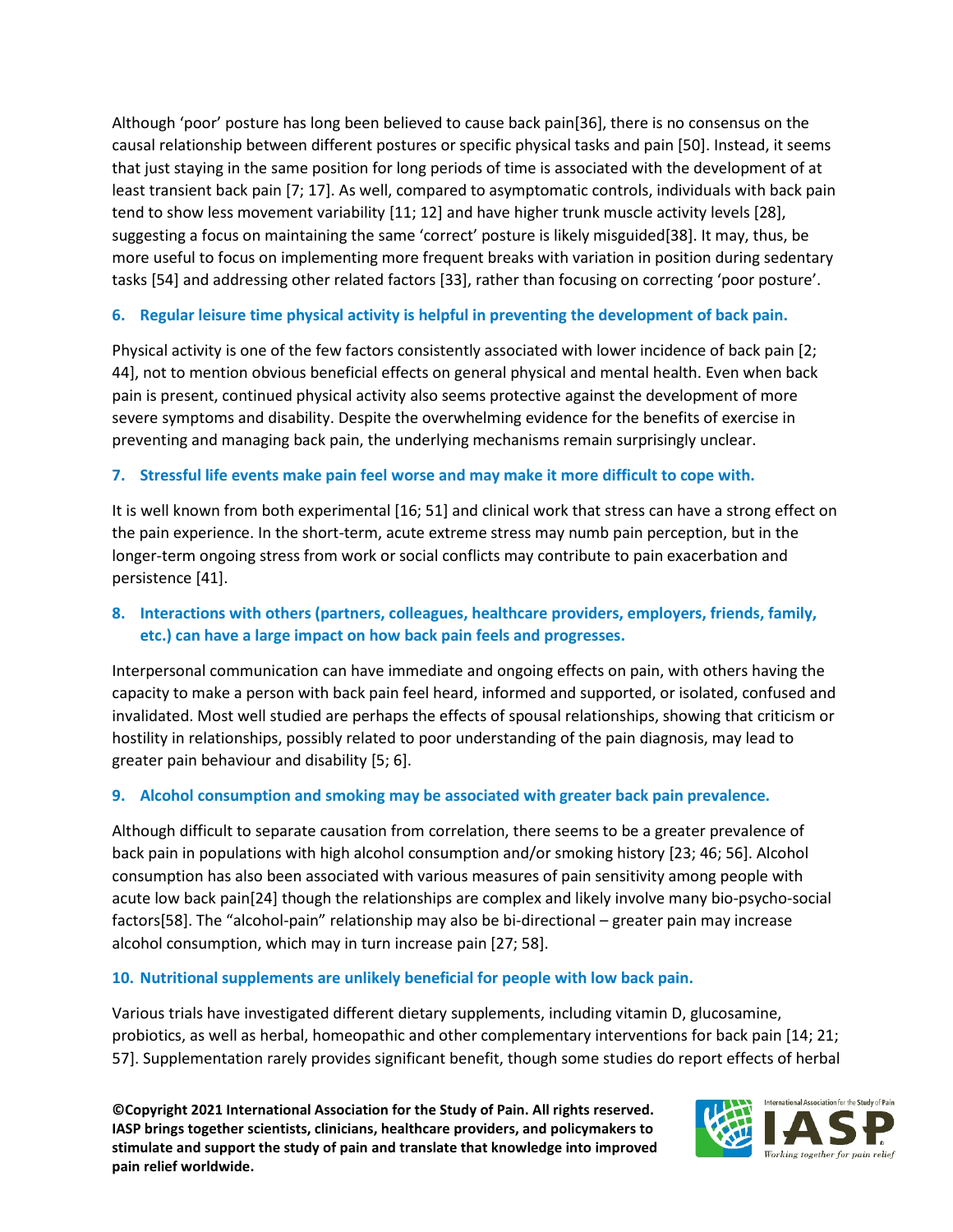Although 'poor' posture has long been believed to cause back pain[36], there is no consensus on the causal relationship between different postures or specific physical tasks and pain [50]. Instead, it seems that just staying in the same position for long periods of time is associated with the development of at least transient back pain [7; 17]. As well, compared to asymptomatic controls, individuals with back pain tend to show less movement variability [11; 12] and have higher trunk muscle activity levels [28], suggesting a focus on maintaining the same 'correct' posture is likely misguided[38]. It may, thus, be more useful to focus on implementing more frequent breaks with variation in position during sedentary tasks [54] and addressing other related factors [33], rather than focusing on correcting 'poor posture'.

## **6. Regular leisure time physical activity is helpful in preventing the development of back pain.**

Physical activity is one of the few factors consistently associated with lower incidence of back pain [2; 44], not to mention obvious beneficial effects on general physical and mental health. Even when back pain is present, continued physical activity also seems protective against the development of more severe symptoms and disability. Despite the overwhelming evidence for the benefits of exercise in preventing and managing back pain, the underlying mechanisms remain surprisingly unclear.

## **7. Stressful life events make pain feel worse and may make it more difficult to cope with.**

It is well known from both experimental [16; 51] and clinical work that stress can have a strong effect on the pain experience. In the short-term, acute extreme stress may numb pain perception, but in the longer-term ongoing stress from work or social conflicts may contribute to pain exacerbation and persistence [41].

## **8. Interactions with others (partners, colleagues, healthcare providers, employers, friends, family, etc.) can have a large impact on how back pain feels and progresses.**

Interpersonal communication can have immediate and ongoing effects on pain, with others having the capacity to make a person with back pain feel heard, informed and supported, or isolated, confused and invalidated. Most well studied are perhaps the effects of spousal relationships, showing that criticism or hostility in relationships, possibly related to poor understanding of the pain diagnosis, may lead to greater pain behaviour and disability [5; 6].

## **9. Alcohol consumption and smoking may be associated with greater back pain prevalence.**

Although difficult to separate causation from correlation, there seems to be a greater prevalence of back pain in populations with high alcohol consumption and/or smoking history [23; 46; 56]. Alcohol consumption has also been associated with various measures of pain sensitivity among people with acute low back pain[24] though the relationships are complex and likely involve many bio-psycho-social factors[58]. The "alcohol-pain" relationship may also be bi-directional – greater pain may increase alcohol consumption, which may in turn increase pain [27; 58].

## **10. Nutritional supplements are unlikely beneficial for people with low back pain.**

Various trials have investigated different dietary supplements, including vitamin D, glucosamine, probiotics, as well as herbal, homeopathic and other complementary interventions for back pain [14; 21; 57]. Supplementation rarely provides significant benefit, though some studies do report effects of herbal

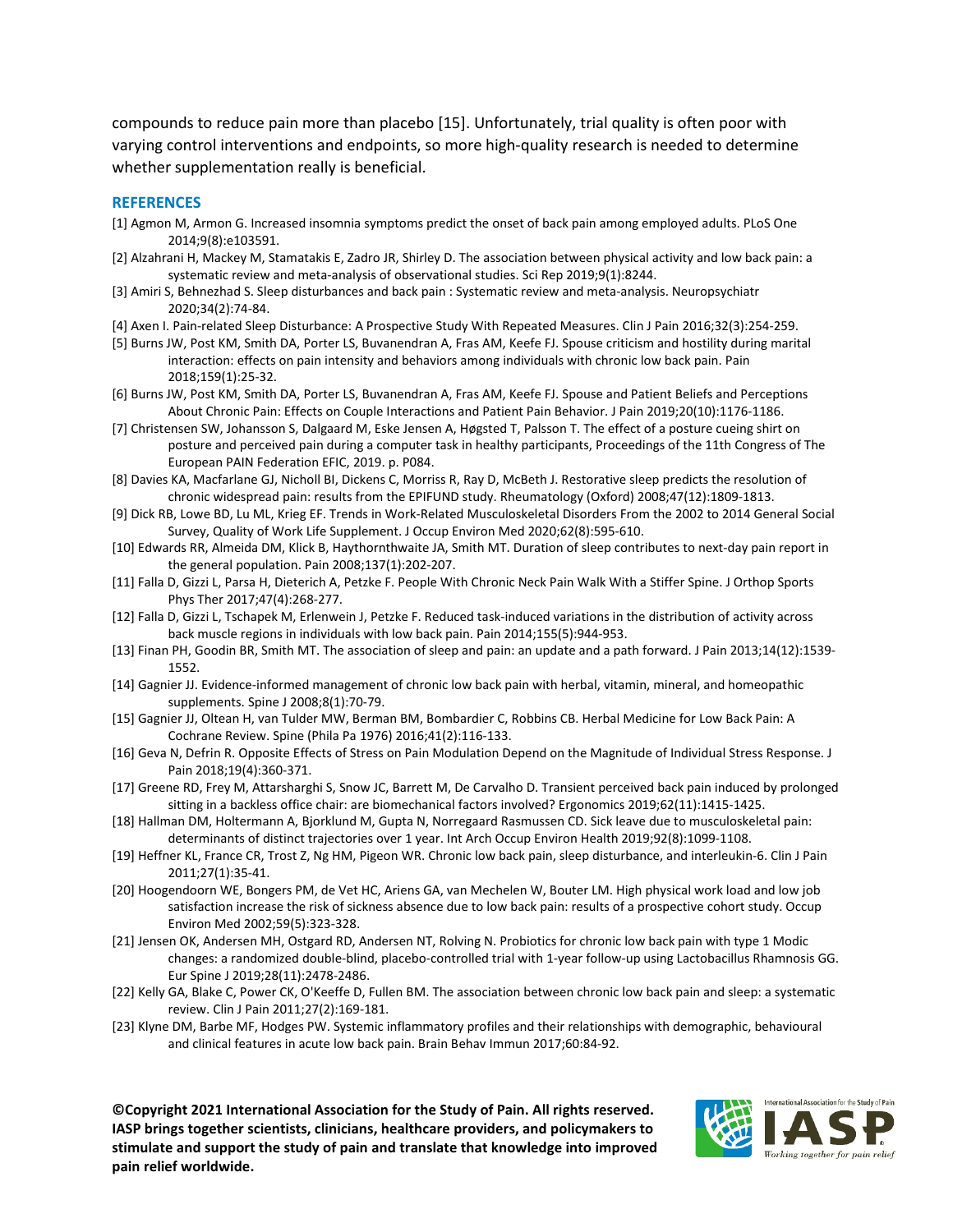compounds to reduce pain more than placebo [15]. Unfortunately, trial quality is often poor with varying control interventions and endpoints, so more high-quality research is needed to determine whether supplementation really is beneficial.

#### **REFERENCES**

- [1] Agmon M, Armon G. Increased insomnia symptoms predict the onset of back pain among employed adults. PLoS One 2014;9(8):e103591.
- [2] Alzahrani H, Mackey M, Stamatakis E, Zadro JR, Shirley D. The association between physical activity and low back pain: a systematic review and meta-analysis of observational studies. Sci Rep 2019;9(1):8244.
- [3] Amiri S, Behnezhad S. Sleep disturbances and back pain : Systematic review and meta-analysis. Neuropsychiatr 2020;34(2):74-84.
- [4] Axen I. Pain-related Sleep Disturbance: A Prospective Study With Repeated Measures. Clin J Pain 2016;32(3):254-259.
- [5] Burns JW, Post KM, Smith DA, Porter LS, Buvanendran A, Fras AM, Keefe FJ. Spouse criticism and hostility during marital interaction: effects on pain intensity and behaviors among individuals with chronic low back pain. Pain 2018;159(1):25-32.
- [6] Burns JW, Post KM, Smith DA, Porter LS, Buvanendran A, Fras AM, Keefe FJ. Spouse and Patient Beliefs and Perceptions About Chronic Pain: Effects on Couple Interactions and Patient Pain Behavior. J Pain 2019;20(10):1176-1186.
- [7] Christensen SW, Johansson S, Dalgaard M, Eske Jensen A, Høgsted T, Palsson T. The effect of a posture cueing shirt on posture and perceived pain during a computer task in healthy participants, Proceedings of the 11th Congress of The European PAIN Federation EFIC, 2019. p. P084.
- [8] Davies KA, Macfarlane GJ, Nicholl BI, Dickens C, Morriss R, Ray D, McBeth J. Restorative sleep predicts the resolution of chronic widespread pain: results from the EPIFUND study. Rheumatology (Oxford) 2008;47(12):1809-1813.
- [9] Dick RB, Lowe BD, Lu ML, Krieg EF. Trends in Work-Related Musculoskeletal Disorders From the 2002 to 2014 General Social Survey, Quality of Work Life Supplement. J Occup Environ Med 2020;62(8):595-610.
- [10] Edwards RR, Almeida DM, Klick B, Haythornthwaite JA, Smith MT. Duration of sleep contributes to next-day pain report in the general population. Pain 2008;137(1):202-207.
- [11] Falla D, Gizzi L, Parsa H, Dieterich A, Petzke F. People With Chronic Neck Pain Walk With a Stiffer Spine. J Orthop Sports Phys Ther 2017;47(4):268-277.
- [12] Falla D, Gizzi L, Tschapek M, Erlenwein J, Petzke F. Reduced task-induced variations in the distribution of activity across back muscle regions in individuals with low back pain. Pain 2014;155(5):944-953.
- [13] Finan PH, Goodin BR, Smith MT. The association of sleep and pain: an update and a path forward. J Pain 2013;14(12):1539- 1552.
- [14] Gagnier JJ. Evidence-informed management of chronic low back pain with herbal, vitamin, mineral, and homeopathic supplements. Spine J 2008;8(1):70-79.
- [15] Gagnier JJ, Oltean H, van Tulder MW, Berman BM, Bombardier C, Robbins CB. Herbal Medicine for Low Back Pain: A Cochrane Review. Spine (Phila Pa 1976) 2016;41(2):116-133.
- [16] Geva N, Defrin R. Opposite Effects of Stress on Pain Modulation Depend on the Magnitude of Individual Stress Response. J Pain 2018;19(4):360-371.
- [17] Greene RD, Frey M, Attarsharghi S, Snow JC, Barrett M, De Carvalho D. Transient perceived back pain induced by prolonged sitting in a backless office chair: are biomechanical factors involved? Ergonomics 2019;62(11):1415-1425.
- [18] Hallman DM, Holtermann A, Bjorklund M, Gupta N, Norregaard Rasmussen CD. Sick leave due to musculoskeletal pain: determinants of distinct trajectories over 1 year. Int Arch Occup Environ Health 2019;92(8):1099-1108.
- [19] Heffner KL, France CR, Trost Z, Ng HM, Pigeon WR. Chronic low back pain, sleep disturbance, and interleukin-6. Clin J Pain 2011;27(1):35-41.
- [20] Hoogendoorn WE, Bongers PM, de Vet HC, Ariens GA, van Mechelen W, Bouter LM. High physical work load and low job satisfaction increase the risk of sickness absence due to low back pain: results of a prospective cohort study. Occup Environ Med 2002;59(5):323-328.
- [21] Jensen OK, Andersen MH, Ostgard RD, Andersen NT, Rolving N. Probiotics for chronic low back pain with type 1 Modic changes: a randomized double-blind, placebo-controlled trial with 1-year follow-up using Lactobacillus Rhamnosis GG. Eur Spine J 2019;28(11):2478-2486.
- [22] Kelly GA, Blake C, Power CK, O'Keeffe D, Fullen BM. The association between chronic low back pain and sleep: a systematic review. Clin J Pain 2011;27(2):169-181.
- [23] Klyne DM, Barbe MF, Hodges PW. Systemic inflammatory profiles and their relationships with demographic, behavioural and clinical features in acute low back pain. Brain Behav Immun 2017;60:84-92.

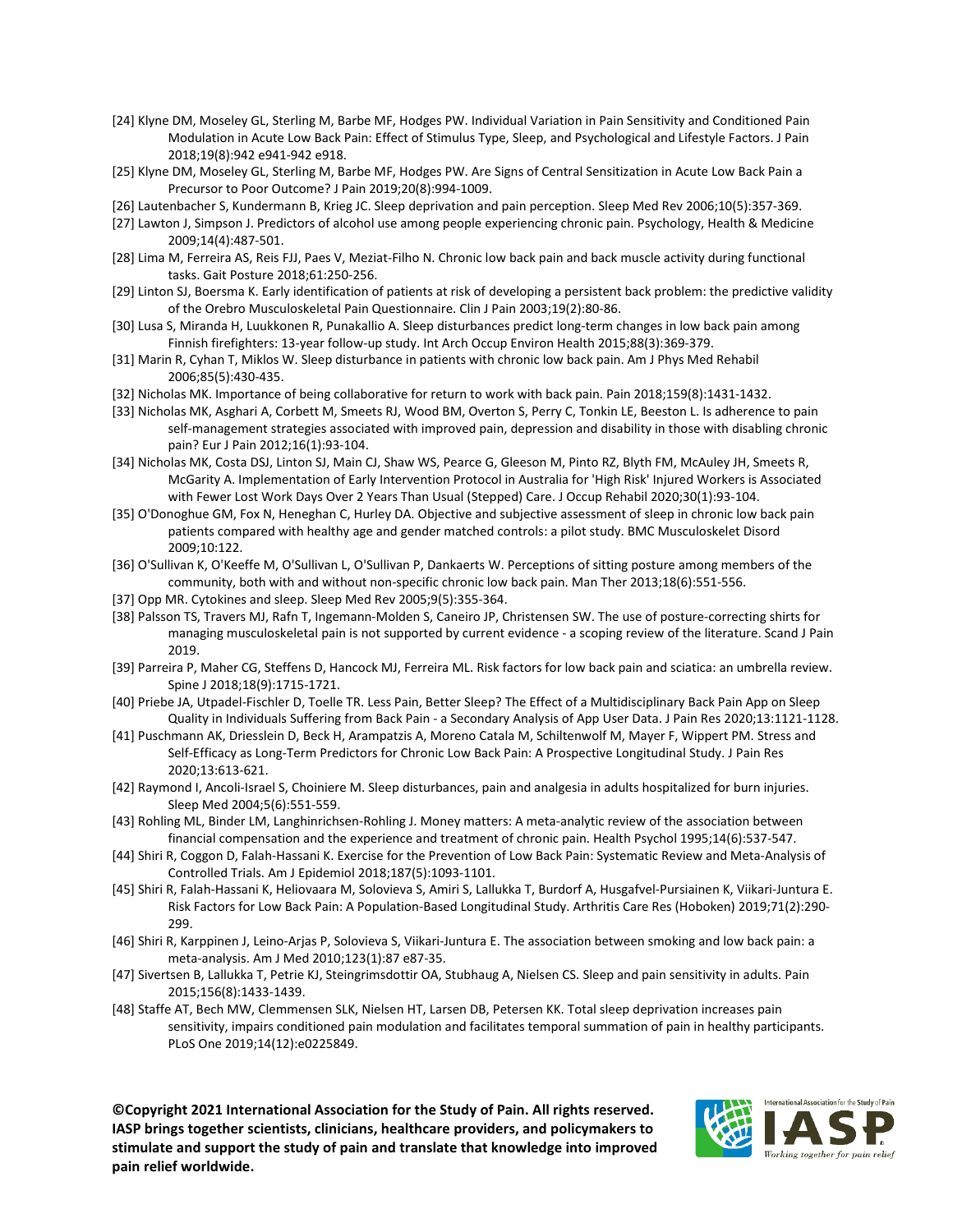- [24] Klyne DM, Moseley GL, Sterling M, Barbe MF, Hodges PW. Individual Variation in Pain Sensitivity and Conditioned Pain Modulation in Acute Low Back Pain: Effect of Stimulus Type, Sleep, and Psychological and Lifestyle Factors. J Pain 2018;19(8):942 e941-942 e918.
- [25] Klyne DM, Moseley GL, Sterling M, Barbe MF, Hodges PW. Are Signs of Central Sensitization in Acute Low Back Pain a Precursor to Poor Outcome? J Pain 2019;20(8):994-1009.
- [26] Lautenbacher S, Kundermann B, Krieg JC. Sleep deprivation and pain perception. Sleep Med Rev 2006;10(5):357-369.
- [27] Lawton J, Simpson J. Predictors of alcohol use among people experiencing chronic pain. Psychology, Health & Medicine 2009;14(4):487-501.
- [28] Lima M, Ferreira AS, Reis FJJ, Paes V, Meziat-Filho N. Chronic low back pain and back muscle activity during functional tasks. Gait Posture 2018;61:250-256.
- [29] Linton SJ, Boersma K. Early identification of patients at risk of developing a persistent back problem: the predictive validity of the Orebro Musculoskeletal Pain Questionnaire. Clin J Pain 2003;19(2):80-86.
- [30] Lusa S, Miranda H, Luukkonen R, Punakallio A. Sleep disturbances predict long-term changes in low back pain among Finnish firefighters: 13-year follow-up study. Int Arch Occup Environ Health 2015;88(3):369-379.
- [31] Marin R, Cyhan T, Miklos W. Sleep disturbance in patients with chronic low back pain. Am J Phys Med Rehabil 2006;85(5):430-435.
- [32] Nicholas MK. Importance of being collaborative for return to work with back pain. Pain 2018;159(8):1431-1432.
- [33] Nicholas MK, Asghari A, Corbett M, Smeets RJ, Wood BM, Overton S, Perry C, Tonkin LE, Beeston L. Is adherence to pain self-management strategies associated with improved pain, depression and disability in those with disabling chronic pain? Eur J Pain 2012;16(1):93-104.
- [34] Nicholas MK, Costa DSJ, Linton SJ, Main CJ, Shaw WS, Pearce G, Gleeson M, Pinto RZ, Blyth FM, McAuley JH, Smeets R, McGarity A. Implementation of Early Intervention Protocol in Australia for 'High Risk' Injured Workers is Associated with Fewer Lost Work Days Over 2 Years Than Usual (Stepped) Care. J Occup Rehabil 2020;30(1):93-104.
- [35] O'Donoghue GM, Fox N, Heneghan C, Hurley DA. Objective and subjective assessment of sleep in chronic low back pain patients compared with healthy age and gender matched controls: a pilot study. BMC Musculoskelet Disord 2009;10:122.
- [36] O'Sullivan K, O'Keeffe M, O'Sullivan L, O'Sullivan P, Dankaerts W. Perceptions of sitting posture among members of the community, both with and without non-specific chronic low back pain. Man Ther 2013;18(6):551-556.
- [37] Opp MR. Cytokines and sleep. Sleep Med Rev 2005;9(5):355-364.
- [38] Palsson TS, Travers MJ, Rafn T, Ingemann-Molden S, Caneiro JP, Christensen SW. The use of posture-correcting shirts for managing musculoskeletal pain is not supported by current evidence - a scoping review of the literature. Scand J Pain 2019.
- [39] Parreira P, Maher CG, Steffens D, Hancock MJ, Ferreira ML. Risk factors for low back pain and sciatica: an umbrella review. Spine J 2018;18(9):1715-1721.
- [40] Priebe JA, Utpadel-Fischler D, Toelle TR. Less Pain, Better Sleep? The Effect of a Multidisciplinary Back Pain App on Sleep Quality in Individuals Suffering from Back Pain - a Secondary Analysis of App User Data. J Pain Res 2020;13:1121-1128.
- [41] Puschmann AK, Driesslein D, Beck H, Arampatzis A, Moreno Catala M, Schiltenwolf M, Mayer F, Wippert PM. Stress and Self-Efficacy as Long-Term Predictors for Chronic Low Back Pain: A Prospective Longitudinal Study. J Pain Res 2020;13:613-621.
- [42] Raymond I, Ancoli-Israel S, Choiniere M. Sleep disturbances, pain and analgesia in adults hospitalized for burn injuries. Sleep Med 2004;5(6):551-559.
- [43] Rohling ML, Binder LM, Langhinrichsen-Rohling J. Money matters: A meta-analytic review of the association between financial compensation and the experience and treatment of chronic pain. Health Psychol 1995;14(6):537-547.
- [44] Shiri R, Coggon D, Falah-Hassani K. Exercise for the Prevention of Low Back Pain: Systematic Review and Meta-Analysis of Controlled Trials. Am J Epidemiol 2018;187(5):1093-1101.
- [45] Shiri R, Falah-Hassani K, Heliovaara M, Solovieva S, Amiri S, Lallukka T, Burdorf A, Husgafvel-Pursiainen K, Viikari-Juntura E. Risk Factors for Low Back Pain: A Population-Based Longitudinal Study. Arthritis Care Res (Hoboken) 2019;71(2):290- 299.
- [46] Shiri R, Karppinen J, Leino-Arjas P, Solovieva S, Viikari-Juntura E. The association between smoking and low back pain: a meta-analysis. Am J Med 2010;123(1):87 e87-35.
- [47] Sivertsen B, Lallukka T, Petrie KJ, Steingrimsdottir OA, Stubhaug A, Nielsen CS. Sleep and pain sensitivity in adults. Pain 2015;156(8):1433-1439.
- [48] Staffe AT, Bech MW, Clemmensen SLK, Nielsen HT, Larsen DB, Petersen KK. Total sleep deprivation increases pain sensitivity, impairs conditioned pain modulation and facilitates temporal summation of pain in healthy participants. PLoS One 2019;14(12):e0225849.